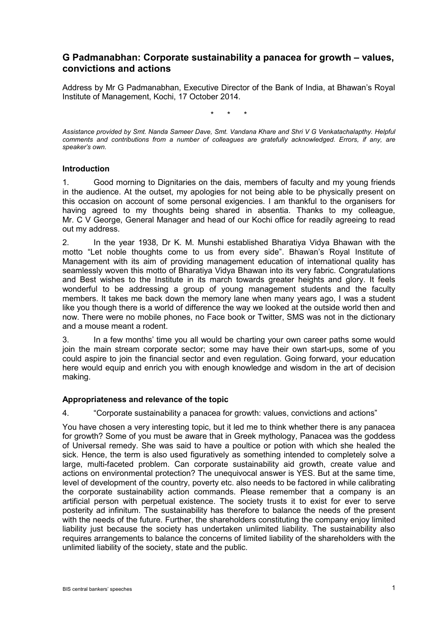# **G Padmanabhan: Corporate sustainability a panacea for growth – values, convictions and actions**

Address by Mr G Padmanabhan, Executive Director of the Bank of India, at Bhawan's Royal Institute of Management, Kochi, 17 October 2014.

\* \* \*

*Assistance provided by Smt. Nanda Sameer Dave, Smt. Vandana Khare and Shri V G Venkatachalapthy. Helpful comments and contributions from a number of colleagues are gratefully acknowledged. Errors, if any, are speaker's own.*

#### **Introduction**

1. Good morning to Dignitaries on the dais, members of faculty and my young friends in the audience. At the outset, my apologies for not being able to be physically present on this occasion on account of some personal exigencies. I am thankful to the organisers for having agreed to my thoughts being shared in absentia. Thanks to my colleague, Mr. C V George, General Manager and head of our Kochi office for readily agreeing to read out my address.

2. In the year 1938, Dr K. M. Munshi established Bharatiya Vidya Bhawan with the motto "Let noble thoughts come to us from every side". Bhawan's Royal Institute of Management with its aim of providing management education of international quality has seamlessly woven this motto of Bharatiya Vidya Bhawan into its very fabric. Congratulations and Best wishes to the Institute in its march towards greater heights and glory. It feels wonderful to be addressing a group of young management students and the faculty members. It takes me back down the memory lane when many years ago, I was a student like you though there is a world of difference the way we looked at the outside world then and now. There were no mobile phones, no Face book or Twitter, SMS was not in the dictionary and a mouse meant a rodent.

3. In a few months' time you all would be charting your own career paths some would join the main stream corporate sector; some may have their own start-ups, some of you could aspire to join the financial sector and even regulation. Going forward, your education here would equip and enrich you with enough knowledge and wisdom in the art of decision making.

### **Appropriateness and relevance of the topic**

4. "Corporate sustainability a panacea for growth: values, convictions and actions"

You have chosen a very interesting topic, but it led me to think whether there is any panacea for growth? Some of you must be aware that in Greek mythology, Panacea was the goddess of Universal remedy. She was said to have a poultice or potion with which she healed the sick. Hence, the term is also used figuratively as something intended to completely solve a large, multi-faceted problem. Can corporate sustainability aid growth, create value and actions on environmental protection? The unequivocal answer is YES. But at the same time, level of development of the country, poverty etc. also needs to be factored in while calibrating the corporate sustainability action commands. Please remember that a company is an artificial person with perpetual existence. The society trusts it to exist for ever to serve posterity ad infinitum. The sustainability has therefore to balance the needs of the present with the needs of the future. Further, the shareholders constituting the company enjoy limited liability just because the society has undertaken unlimited liability. The sustainability also requires arrangements to balance the concerns of limited liability of the shareholders with the unlimited liability of the society, state and the public.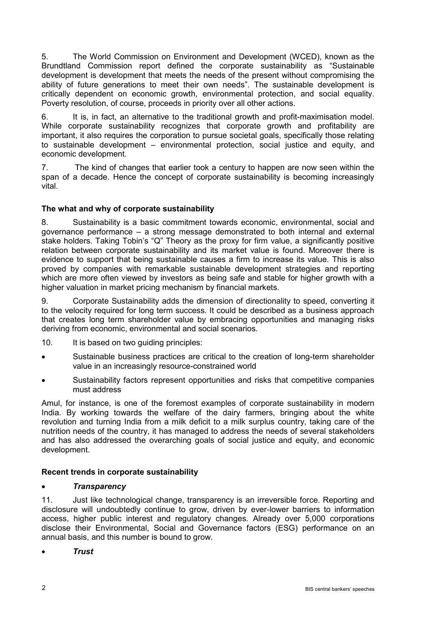5. The World Commission on Environment and Development (WCED), known as the Brundtland Commission report defined the corporate sustainability as "Sustainable development is development that meets the needs of the present without compromising the ability of future generations to meet their own needs". The sustainable development is critically dependent on economic growth, environmental protection, and social equality. Poverty resolution, of course, proceeds in priority over all other actions.

6. It is, in fact, an alternative to the traditional growth and profit-maximisation model. While corporate sustainability recognizes that corporate growth and profitability are important, it also requires the corporation to pursue societal goals, specifically those relating to sustainable development – environmental protection, social justice and equity, and economic development.

7. The kind of changes that earlier took a century to happen are now seen within the span of a decade. Hence the concept of corporate sustainability is becoming increasingly vital.

## **The what and why of corporate sustainability**

8. Sustainability is a basic commitment towards economic, environmental, social and governance performance – a strong message demonstrated to both internal and external stake holders. Taking Tobin's "Q" Theory as the proxy for firm value, a significantly positive relation between corporate sustainability and its market value is found. Moreover there is evidence to support that being sustainable causes a firm to increase its value. This is also proved by companies with remarkable sustainable development strategies and reporting which are more often viewed by investors as being safe and stable for higher growth with a higher valuation in market pricing mechanism by financial markets.

9. Corporate Sustainability adds the dimension of directionality to speed, converting it to the velocity required for long term success. It could be described as a business approach that creates long term shareholder value by embracing opportunities and managing risks deriving from economic, environmental and social scenarios.

10. It is based on two guiding principles:

- Sustainable business practices are critical to the creation of long-term shareholder value in an increasingly resource-constrained world
- Sustainability factors represent opportunities and risks that competitive companies must address

Amul, for instance, is one of the foremost examples of corporate sustainability in modern India. By working towards the welfare of the dairy farmers, bringing about the white revolution and turning India from a milk deficit to a milk surplus country, taking care of the nutrition needs of the country, it has managed to address the needs of several stakeholders and has also addressed the overarching goals of social justice and equity, and economic development.

### **Recent trends in corporate sustainability**

### • *Transparency*

11. Just like technological change, transparency is an irreversible force. Reporting and disclosure will undoubtedly continue to grow, driven by ever-lower barriers to information access, higher public interest and regulatory changes. Already over 5,000 corporations disclose their Environmental, Social and Governance factors (ESG) performance on an annual basis, and this number is bound to grow.

• *Trust*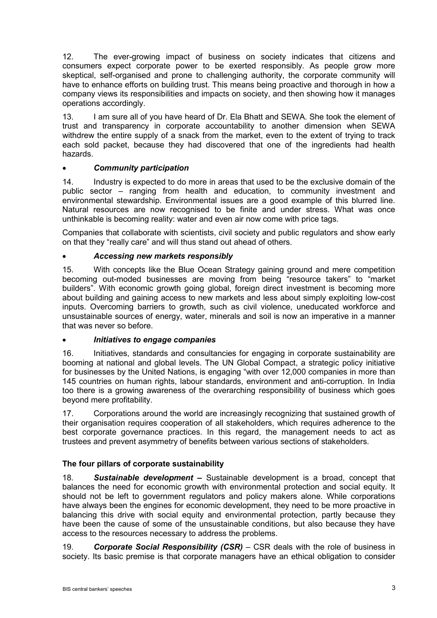12. The ever-growing impact of business on society indicates that citizens and consumers expect corporate power to be exerted responsibly. As people grow more skeptical, self-organised and prone to challenging authority, the corporate community will have to enhance efforts on building trust. This means being proactive and thorough in how a company views its responsibilities and impacts on society, and then showing how it manages operations accordingly.

13. I am sure all of you have heard of Dr. Ela Bhatt and SEWA. She took the element of trust and transparency in corporate accountability to another dimension when SEWA withdrew the entire supply of a snack from the market, even to the extent of trying to track each sold packet, because they had discovered that one of the ingredients had health hazards.

## • *Community participation*

14. Industry is expected to do more in areas that used to be the exclusive domain of the public sector – ranging from health and education, to community investment and environmental stewardship. Environmental issues are a good example of this blurred line. Natural resources are now recognised to be finite and under stress. What was once unthinkable is becoming reality: water and even air now come with price tags.

Companies that collaborate with scientists, civil society and public regulators and show early on that they "really care" and will thus stand out ahead of others.

## • *Accessing new markets responsibly*

15. With concepts like the Blue Ocean Strategy gaining ground and mere competition becoming out-moded businesses are moving from being "resource takers" to "market builders". With economic growth going global, foreign direct investment is becoming more about building and gaining access to new markets and less about simply exploiting low-cost inputs. Overcoming barriers to growth, such as civil violence, uneducated workforce and unsustainable sources of energy, water, minerals and soil is now an imperative in a manner that was never so before.

### • *Initiatives to engage companies*

16. Initiatives, standards and consultancies for engaging in corporate sustainability are booming at national and global levels. The UN Global Compact, a strategic policy initiative for businesses by the United Nations, is engaging "with over 12,000 companies in more than 145 countries on human rights, labour standards, environment and anti-corruption. In India too there is a growing awareness of the overarching responsibility of business which goes beyond mere profitability.

17. Corporations around the world are increasingly recognizing that sustained growth of their organisation requires cooperation of all stakeholders, which requires adherence to the best corporate governance practices. In this regard, the management needs to act as trustees and prevent asymmetry of benefits between various sections of stakeholders.

## **The four pillars of corporate sustainability**

18. *Sustainable development –* Sustainable development is a broad, concept that balances the need for economic growth with environmental protection and social equity. It should not be left to government regulators and policy makers alone. While corporations have always been the engines for economic development, they need to be more proactive in balancing this drive with social equity and environmental protection, partly because they have been the cause of some of the unsustainable conditions, but also because they have access to the resources necessary to address the problems.

19. *Corporate Social Responsibility (CSR)* – CSR deals with the role of business in society. Its basic premise is that corporate managers have an ethical obligation to consider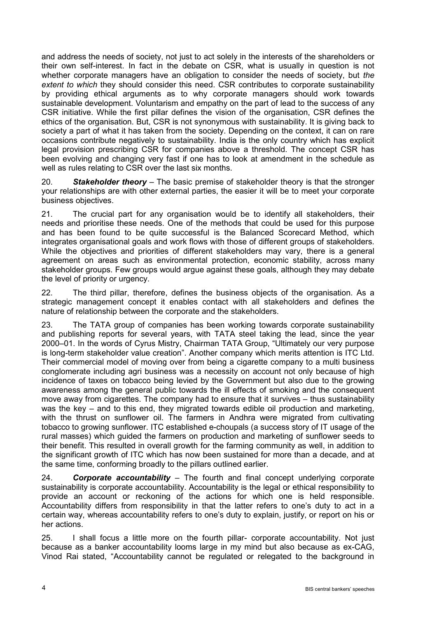and address the needs of society, not just to act solely in the interests of the shareholders or their own self-interest. In fact in the debate on CSR, what is usually in question is not whether corporate managers have an obligation to consider the needs of society, but *the extent to which* they should consider this need. CSR contributes to corporate sustainability by providing ethical arguments as to why corporate managers should work towards sustainable development. Voluntarism and empathy on the part of lead to the success of any CSR initiative. While the first pillar defines the vision of the organisation, CSR defines the ethics of the organisation. But, CSR is not synonymous with sustainability. It is giving back to society a part of what it has taken from the society. Depending on the context, it can on rare occasions contribute negatively to sustainability. India is the only country which has explicit legal provision prescribing CSR for companies above a threshold. The concept CSR has been evolving and changing very fast if one has to look at amendment in the schedule as well as rules relating to CSR over the last six months.

20. *Stakeholder theory* – The basic premise of stakeholder theory is that the stronger your relationships are with other external parties, the easier it will be to meet your corporate business objectives.

21. The crucial part for any organisation would be to identify all stakeholders, their needs and prioritise these needs. One of the methods that could be used for this purpose and has been found to be quite successful is the Balanced Scorecard Method, which integrates organisational goals and work flows with those of different groups of stakeholders. While the objectives and priorities of different stakeholders may vary, there is a general agreement on areas such as environmental protection, economic stability, across many stakeholder groups. Few groups would argue against these goals, although they may debate the level of priority or urgency.

22. The third pillar, therefore, defines the business objects of the organisation. As a strategic management concept it enables contact with all stakeholders and defines the nature of relationship between the corporate and the stakeholders.

23. The TATA group of companies has been working towards corporate sustainability and publishing reports for several years, with TATA steel taking the lead, since the year 2000–01. In the words of Cyrus Mistry, Chairman TATA Group, "Ultimately our very purpose is long-term stakeholder value creation". Another company which merits attention is ITC Ltd. Their commercial model of moving over from being a cigarette company to a multi business conglomerate including agri business was a necessity on account not only because of high incidence of taxes on tobacco being levied by the Government but also due to the growing awareness among the general public towards the ill effects of smoking and the consequent move away from cigarettes. The company had to ensure that it survives – thus sustainability was the key – and to this end, they migrated towards edible oil production and marketing, with the thrust on sunflower oil. The farmers in Andhra were migrated from cultivating tobacco to growing sunflower. ITC established e-choupals (a success story of IT usage of the rural masses) which guided the farmers on production and marketing of sunflower seeds to their benefit. This resulted in overall growth for the farming community as well, in addition to the significant growth of ITC which has now been sustained for more than a decade, and at the same time, conforming broadly to the pillars outlined earlier.

24. *Corporate accountability* – The fourth and final concept underlying corporate sustainability is corporate accountability. Accountability is the legal or ethical responsibility to provide an account or reckoning of the actions for which one is held responsible. Accountability differs from responsibility in that the latter refers to one's duty to act in a certain way, whereas accountability refers to one's duty to explain, justify, or report on his or her actions.

25. I shall focus a little more on the fourth pillar- corporate accountability. Not just because as a banker accountability looms large in my mind but also because as ex-CAG, Vinod Rai stated, "Accountability cannot be regulated or relegated to the background in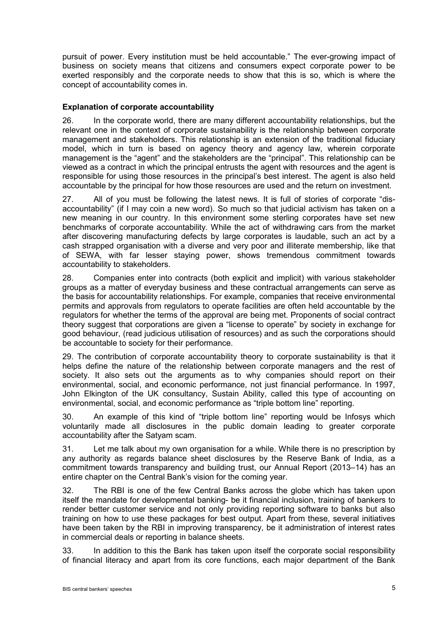pursuit of power. Every institution must be held accountable." The ever-growing impact of business on society means that citizens and consumers expect corporate power to be exerted responsibly and the corporate needs to show that this is so, which is where the concept of accountability comes in.

## **Explanation of corporate accountability**

26. In the corporate world, there are many different accountability relationships, but the relevant one in the context of corporate sustainability is the relationship between corporate management and stakeholders. This relationship is an extension of the traditional fiduciary model, which in turn is based on agency theory and agency law, wherein corporate management is the "agent" and the stakeholders are the "principal". This relationship can be viewed as a contract in which the principal entrusts the agent with resources and the agent is responsible for using those resources in the principal's best interest. The agent is also held accountable by the principal for how those resources are used and the return on investment.

27. All of you must be following the latest news. It is full of stories of corporate "disaccountability" (if I may coin a new word). So much so that judicial activism has taken on a new meaning in our country. In this environment some sterling corporates have set new benchmarks of corporate accountability. While the act of withdrawing cars from the market after discovering manufacturing defects by large corporates is laudable, such an act by a cash strapped organisation with a diverse and very poor and illiterate membership, like that of SEWA, with far lesser staying power, shows tremendous commitment towards accountability to stakeholders.

28. Companies enter into contracts (both explicit and implicit) with various stakeholder groups as a matter of everyday business and these contractual arrangements can serve as the basis for accountability relationships. For example, companies that receive environmental permits and approvals from regulators to operate facilities are often held accountable by the regulators for whether the terms of the approval are being met. Proponents of social contract theory suggest that corporations are given a "license to operate" by society in exchange for good behaviour, (read judicious utilisation of resources) and as such the corporations should be accountable to society for their performance.

29. The contribution of corporate accountability theory to corporate sustainability is that it helps define the nature of the relationship between corporate managers and the rest of society. It also sets out the arguments as to why companies should report on their environmental, social, and economic performance, not just financial performance. In 1997, John Elkington of the UK consultancy, Sustain Ability, called this type of accounting on environmental, social, and economic performance as "triple bottom line" reporting.

30. An example of this kind of "triple bottom line" reporting would be Infosys which voluntarily made all disclosures in the public domain leading to greater corporate accountability after the Satyam scam.

31. Let me talk about my own organisation for a while. While there is no prescription by any authority as regards balance sheet disclosures by the Reserve Bank of India, as a commitment towards transparency and building trust, our Annual Report (2013–14) has an entire chapter on the Central Bank's vision for the coming year.

32. The RBI is one of the few Central Banks across the globe which has taken upon itself the mandate for developmental banking- be it financial inclusion, training of bankers to render better customer service and not only providing reporting software to banks but also training on how to use these packages for best output. Apart from these, several initiatives have been taken by the RBI in improving transparency, be it administration of interest rates in commercial deals or reporting in balance sheets.

33. In addition to this the Bank has taken upon itself the corporate social responsibility of financial literacy and apart from its core functions, each major department of the Bank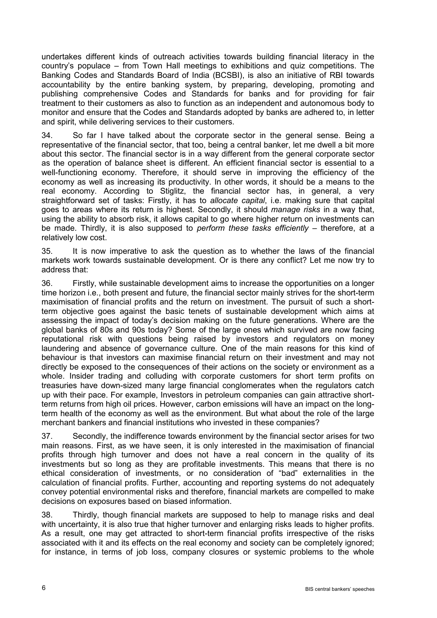undertakes different kinds of outreach activities towards building financial literacy in the country's populace – from Town Hall meetings to exhibitions and quiz competitions. The Banking Codes and Standards Board of India (BCSBI), is also an initiative of RBI towards accountability by the entire banking system, by preparing, developing, promoting and publishing comprehensive Codes and Standards for banks and for providing for fair treatment to their customers as also to function as an independent and autonomous body to monitor and ensure that the Codes and Standards adopted by banks are adhered to, in letter and spirit, while delivering services to their customers.

34. So far I have talked about the corporate sector in the general sense. Being a representative of the financial sector, that too, being a central banker, let me dwell a bit more about this sector. The financial sector is in a way different from the general corporate sector as the operation of balance sheet is different. An efficient financial sector is essential to a well-functioning economy. Therefore, it should serve in improving the efficiency of the economy as well as increasing its productivity. In other words, it should be a means to the real economy. According to Stiglitz, the financial sector has, in general, a very straightforward set of tasks: Firstly, it has to *allocate capital*, i.e. making sure that capital goes to areas where its return is highest. Secondly, it should *manage risks* in a way that, using the ability to absorb risk, it allows capital to go where higher return on investments can be made. Thirdly, it is also supposed to *perform these tasks efficiently* – therefore, at a relatively low cost.

35. It is now imperative to ask the question as to whether the laws of the financial markets work towards sustainable development. Or is there any conflict? Let me now try to address that:

36. Firstly, while sustainable development aims to increase the opportunities on a longer time horizon i.e., both present and future, the financial sector mainly strives for the short-term maximisation of financial profits and the return on investment. The pursuit of such a shortterm objective goes against the basic tenets of sustainable development which aims at assessing the impact of today's decision making on the future generations. Where are the global banks of 80s and 90s today? Some of the large ones which survived are now facing reputational risk with questions being raised by investors and regulators on money laundering and absence of governance culture. One of the main reasons for this kind of behaviour is that investors can maximise financial return on their investment and may not directly be exposed to the consequences of their actions on the society or environment as a whole. Insider trading and colluding with corporate customers for short term profits on treasuries have down-sized many large financial conglomerates when the regulators catch up with their pace. For example, Investors in petroleum companies can gain attractive shortterm returns from high oil prices. However, carbon emissions will have an impact on the longterm health of the economy as well as the environment. But what about the role of the large merchant bankers and financial institutions who invested in these companies?

37. Secondly, the indifference towards environment by the financial sector arises for two main reasons. First, as we have seen, it is only interested in the maximisation of financial profits through high turnover and does not have a real concern in the quality of its investments but so long as they are profitable investments. This means that there is no ethical consideration of investments, or no consideration of "bad" externalities in the calculation of financial profits. Further, accounting and reporting systems do not adequately convey potential environmental risks and therefore, financial markets are compelled to make decisions on exposures based on biased information.

38. Thirdly, though financial markets are supposed to help to manage risks and deal with uncertainty, it is also true that higher turnover and enlarging risks leads to higher profits. As a result, one may get attracted to short-term financial profits irrespective of the risks associated with it and its effects on the real economy and society can be completely ignored; for instance, in terms of job loss, company closures or systemic problems to the whole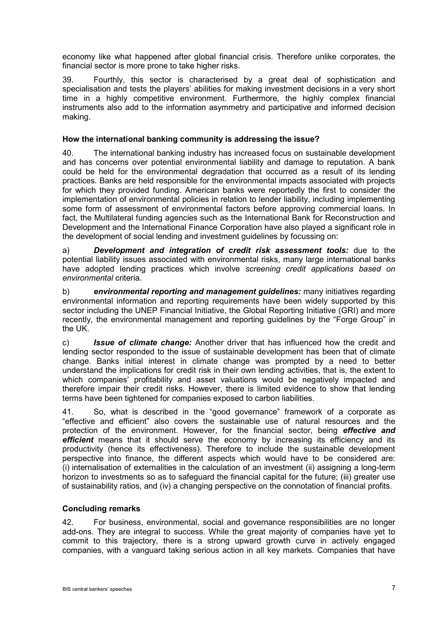economy like what happened after global financial crisis. Therefore unlike corporates, the financial sector is more prone to take higher risks.

39. Fourthly, this sector is characterised by a great deal of sophistication and specialisation and tests the players' abilities for making investment decisions in a very short time in a highly competitive environment. Furthermore, the highly complex financial instruments also add to the information asymmetry and participative and informed decision making.

### **How the international banking community is addressing the issue?**

40. The international banking industry has increased focus on sustainable development and has concerns over potential environmental liability and damage to reputation. A bank could be held for the environmental degradation that occurred as a result of its lending practices. Banks are held responsible for the environmental impacts associated with projects for which they provided funding. American banks were reportedly the first to consider the implementation of environmental policies in relation to lender liability, including implementing some form of assessment of environmental factors before approving commercial loans. In fact, the Multilateral funding agencies such as the International Bank for Reconstruction and Development and the International Finance Corporation have also played a significant role in the development of social lending and investment guidelines by focussing on:

a) *Development and integration of credit risk assessment tools:* due to the potential liability issues associated with environmental risks, many large international banks have adopted lending practices which involve *screening credit applications based on environmental* criteria.

b) *environmental reporting and management guidelines:* many initiatives regarding environmental information and reporting requirements have been widely supported by this sector including the UNEP Financial Initiative, the Global Reporting Initiative (GRI) and more recently, the environmental management and reporting guidelines by the "Forge Group" in the UK.

c) *Issue of climate change:* Another driver that has influenced how the credit and lending sector responded to the issue of sustainable development has been that of climate change. Banks initial interest in climate change was prompted by a need to better understand the implications for credit risk in their own lending activities, that is, the extent to which companies' profitability and asset valuations would be negatively impacted and therefore impair their credit risks. However, there is limited evidence to show that lending terms have been tightened for companies exposed to carbon liabilities.

41. So, what is described in the "good governance" framework of a corporate as "effective and efficient" also covers the sustainable use of natural resources and the protection of the environment. However, for the financial sector, being *effective and efficient* means that it should serve the economy by increasing its efficiency and its productivity (hence its effectiveness). Therefore to include the sustainable development perspective into finance, the different aspects which would have to be considered are: (i) internalisation of externalities in the calculation of an investment (ii) assigning a long-term horizon to investments so as to safeguard the financial capital for the future; (iii) greater use of sustainability ratios, and (iv) a changing perspective on the connotation of financial profits.

### **Concluding remarks**

42. For business, environmental, social and governance responsibilities are no longer add-ons. They are integral to success. While the great majority of companies have yet to commit to this trajectory, there is a strong upward growth curve in actively engaged companies, with a vanguard taking serious action in all key markets. Companies that have